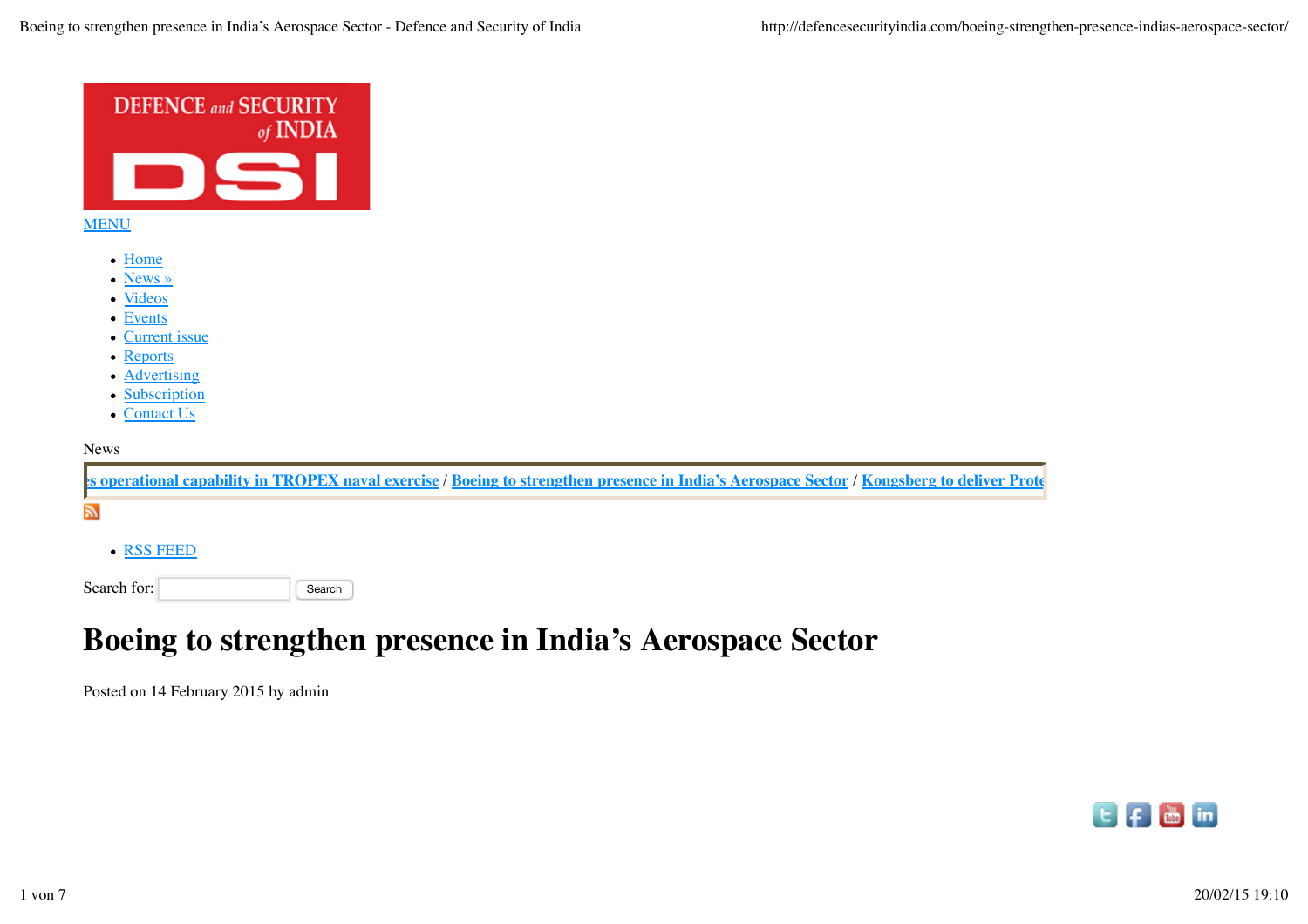

# **Boeing to strengthen presence in India's Aerospace Sector**

Posted on 14 February 2015 by admin

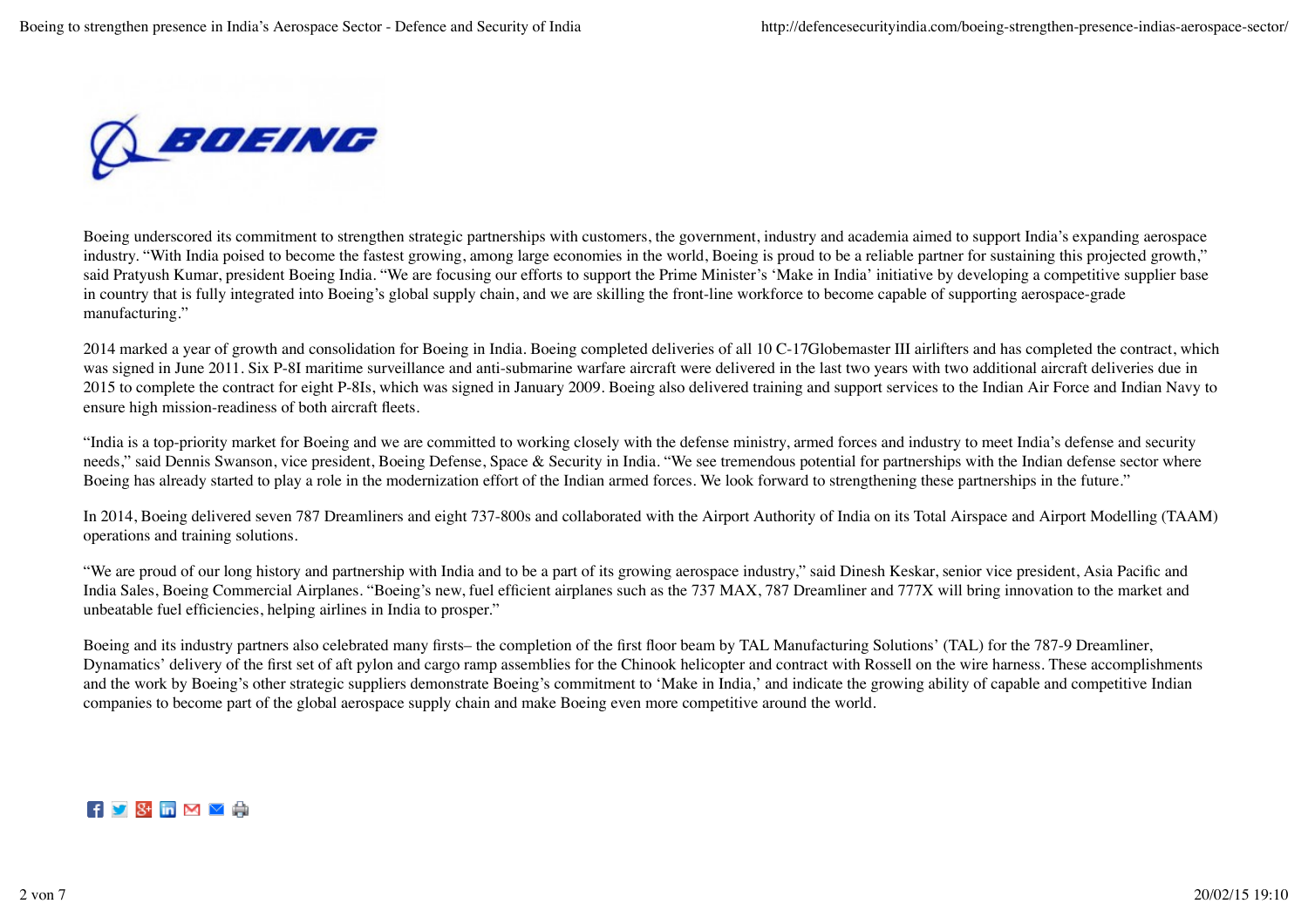

Boeing underscored its commitment to strengthen strategic partnerships with customers, the government, industry and academia aimed to support India's expanding aerospace industry. "With India poised to become the fastest growing, among large economies in the world, Boeing is proud to be a reliable partner for sustaining this projected growth," said Pratyush Kumar, president Boeing India. "We are focusing our efforts to support the Prime Minister's 'Make in India' initiative by developing a competitive supplier base in country that is fully integrated into Boeing's global supply chain, and we are skilling the front-line workforce to become capable of supporting aerospace-grade manufacturing."

2014 marked a year of growth and consolidation for Boeing in India. Boeing completed deliveries of all 10 C-17Globemaster III airlifters and has completed the contract, which was signed in June 2011. Six P-8I maritime surveillance and anti-submarine warfare aircraft were delivered in the last two years with two additional aircraft deliveries due in 2015 to complete the contract for eight P-8Is, which was signed in January 2009. Boeing also delivered training and support services to the Indian Air Force and Indian Navy to ensure high mission-readiness of both aircraft fleets.

"India is a top-priority market for Boeing and we are committed to working closely with the defense ministry, armed forces and industry to meet India's defense and security needs," said Dennis Swanson, vice president, Boeing Defense, Space & Security in India. "We see tremendous potential for partnerships with the Indian defense sector where Boeing has already started to play a role in the modernization effort of the Indian armed forces. We look forward to strengthening these partnerships in the future."

In 2014, Boeing delivered seven 787 Dreamliners and eight 737-800s and collaborated with the Airport Authority of India on its Total Airspace and Airport Modelling (TAAM) operations and training solutions.

"We are proud of our long history and partnership with India and to be a part of its growing aerospace industry," said Dinesh Keskar, senior vice president, Asia Pacific and India Sales, Boeing Commercial Airplanes. "Boeing's new, fuel efficient airplanes such as the 737 MAX, 787 Dreamliner and 777X will bring innovation to the market and unbeatable fuel efficiencies, helping airlines in India to prosper."

Boeing and its industry partners also celebrated many firsts– the completion of the first floor beam by TAL Manufacturing Solutions' (TAL) for the 787-9 Dreamliner, Dynamatics' delivery of the first set of aft pylon and cargo ramp assemblies for the Chinook helicopter and contract with Rossell on the wire harness. These accomplishments and the work by Boeing's other strategic suppliers demonstrate Boeing's commitment to 'Make in India,' and indicate the growing ability of capable and competitive Indian companies to become part of the global aerospace supply chain and make Boeing even more competitive around the world.

#### $\mathbf{F}$   $\mathbf{S}$   $\mathbf{S}$  **m**  $\mathbf{M}$   $\mathbf{V}$   $\mathbf{F}$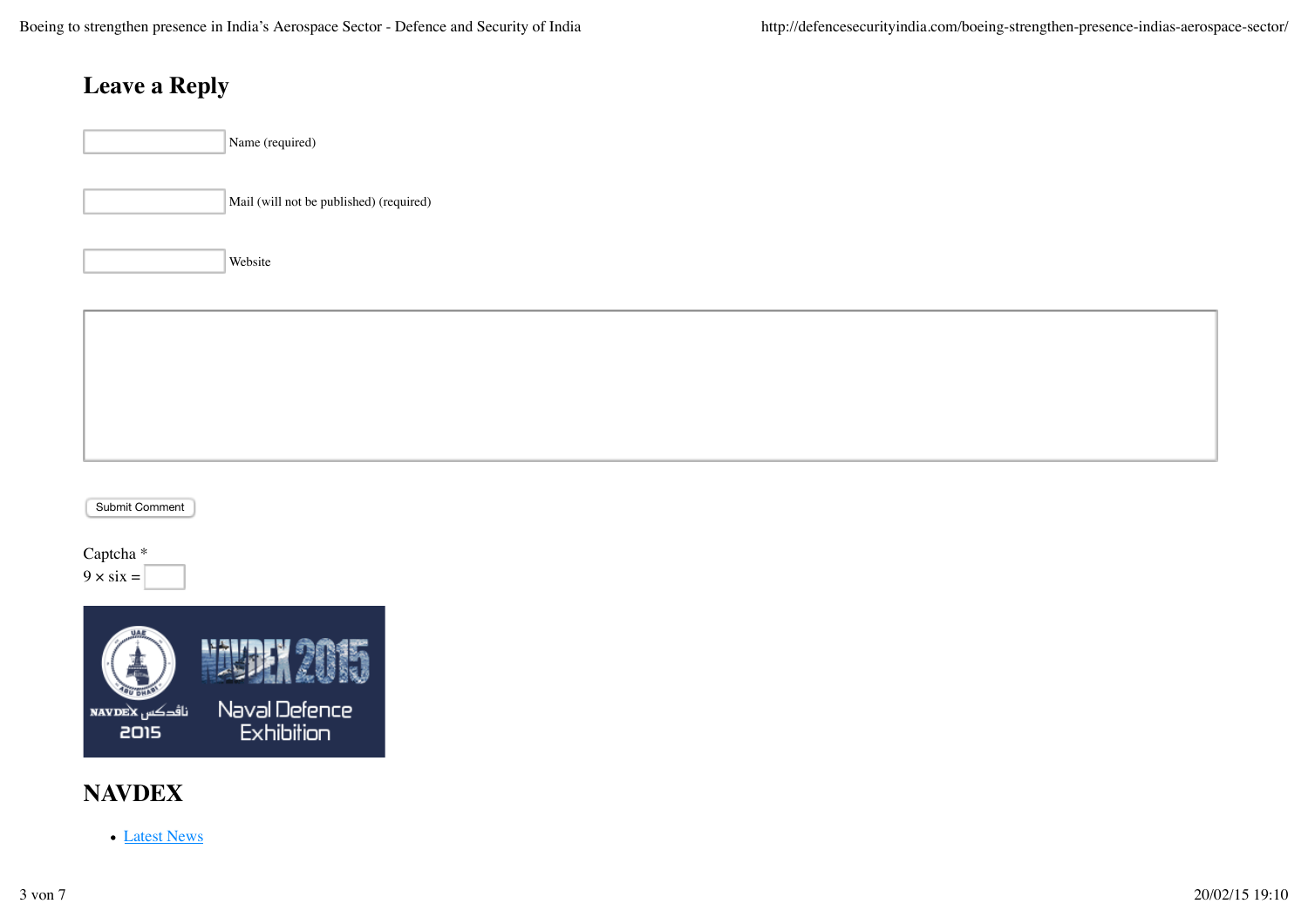## **Leave a Reply**

|  | Mail (wil |
|--|-----------|
|--|-----------|

ill not be published) (required)

Website





#### **NAVDEX**

• Latest News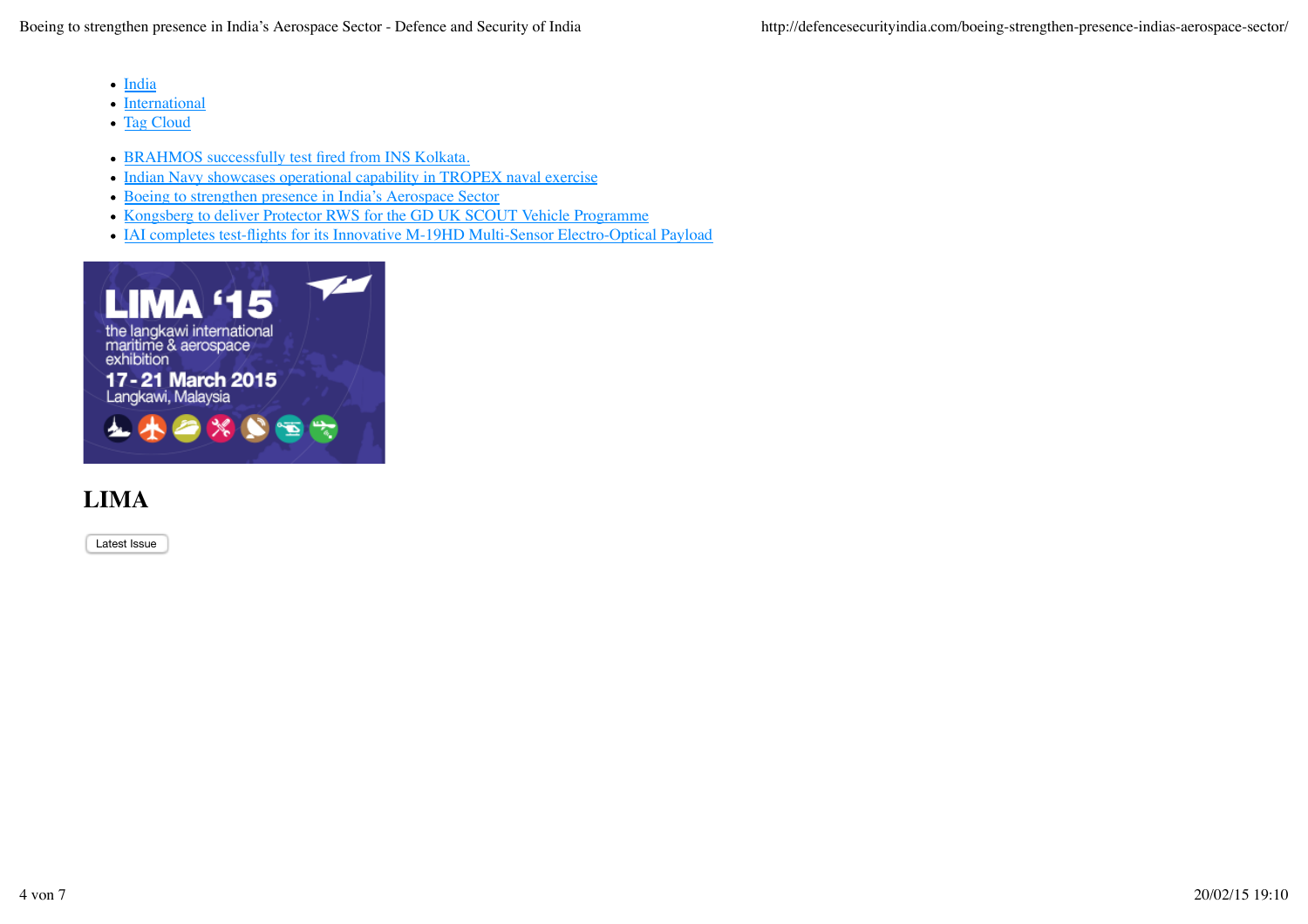- India
- International
- Tag Cloud
- BRAHMOS successfully test fired from INS Kolkata.
- Indian Navy showcases operational capability in TROPEX naval exercise
- Boeing to strengthen presence in India's Aerospace Sector
- Kongsberg to deliver Protector RWS for the GD UK SCOUT Vehicle Programme
- IAI completes test-flights for its Innovative M-19HD Multi-Sensor Electro-Optical Payload



## **LIMA**

Latest Issue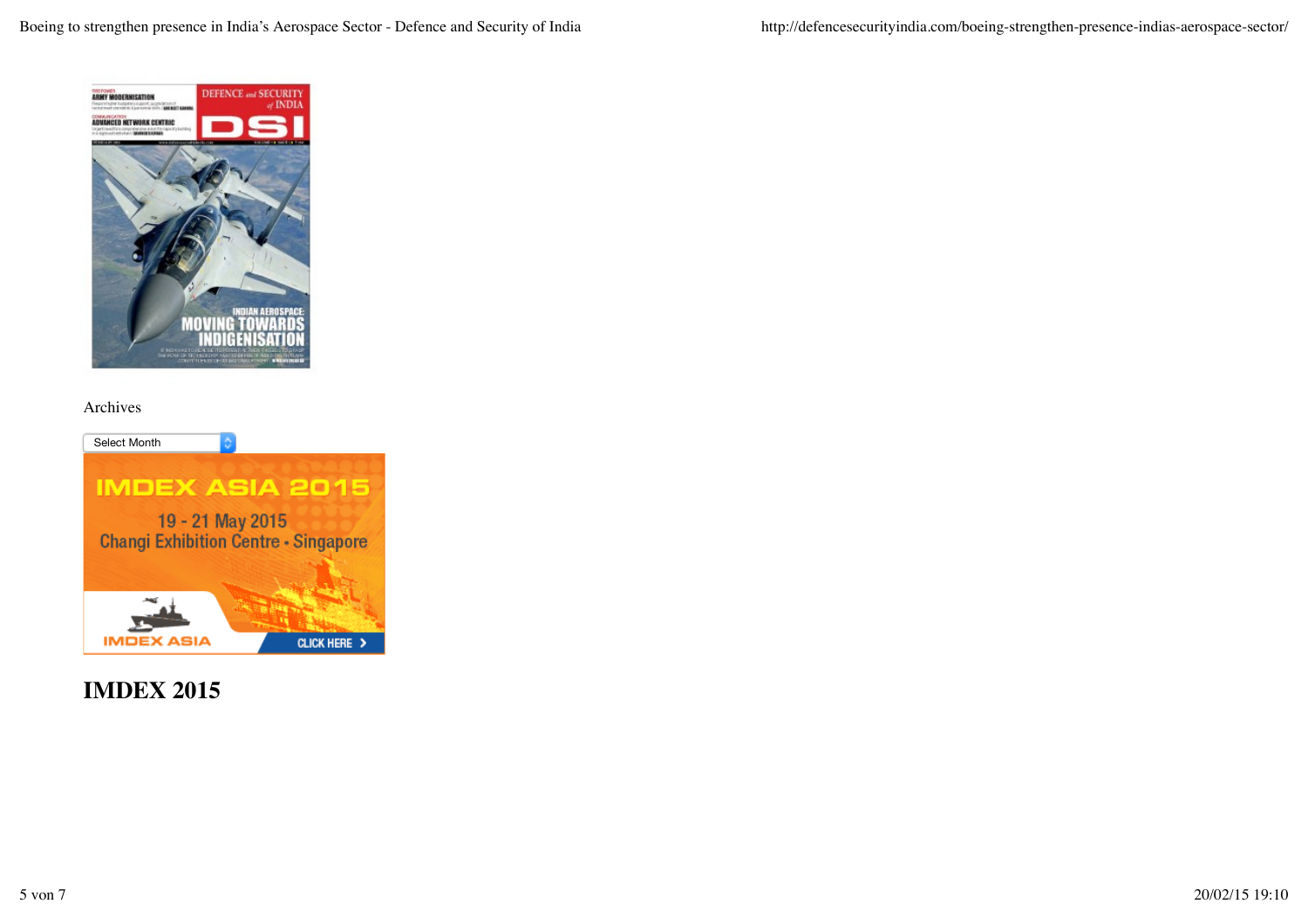

#### Archives



**IMDEX 2015**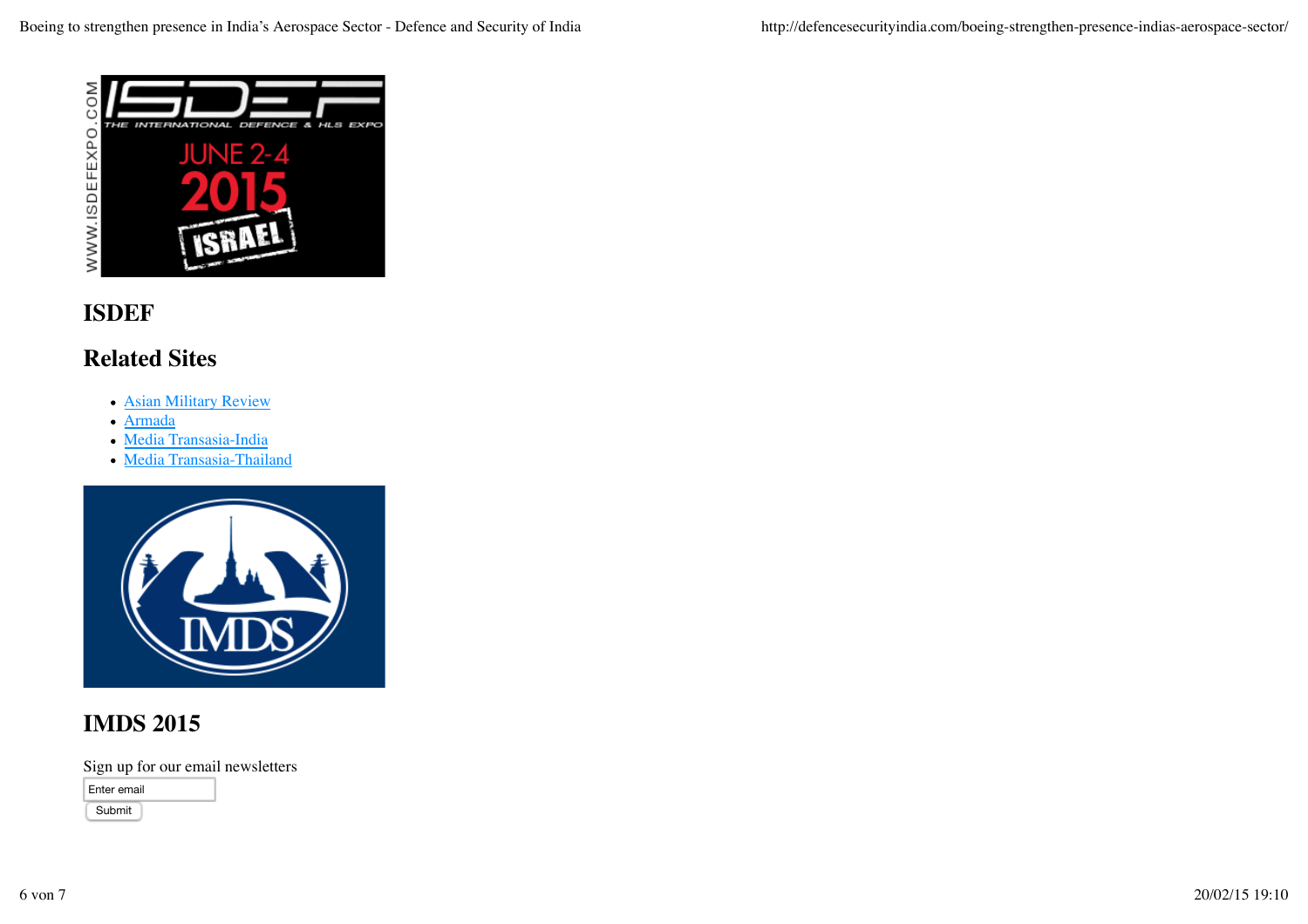

#### **ISDEF**

#### **Related Sites**

- Asian Military Review
- Armada
- Media Transasia-India
- Media Transasia-Thailand



#### **IMDS 2015**

Sign up for our email newsletters

Enter email

Submit